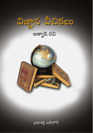

ఆత్మాకె.రవి



(పజాశక్తి బుక్హాస్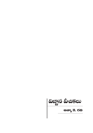<mark>విజ్ఞాన పీచికలు</mark>

ಆತ್ಮಾ ತೆ. ರೆನಿ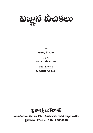

రచన

ಆತ್ಮಾ ತೆ. ರವಿ

తెలుగు

ಎಜಿ.ಯತಿರಾಜುಲು

అక్షర సహకారం

మంగపతి సంధ్య శ్రీ

ప్రజాశక్తి బుక్*ప*శాస్

ఎమ్హెచ్ భవన్, ప్లాట్ నెం. 21/1, అజామాబాద్, ఆర్టిని కణ్యణమండపం హైదరాబాద్ -20, ఫోన్ : 040 - 27660013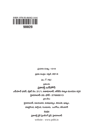

ప్రచురణ సంఖ్య : 1319

ప్రథమ ముద్రణ : పప్రిల్, 2014

**3**ల:₹70/-

ప్రతులకు

ప్రజాశక్తి బుక్వెశాస్

ఎమ్హెచ్ భవన్, ప్లాట్ నెం. 21/1, అజామాబాద్, ఆర్టీని కణ్యణ మండపం దగ్గర

హైదరాబాద్-20. ఫోన్: 27660013

బ్రాంచీలు

హైదరాబాద్, విజయవాడ, విశాఖపట్నం, తిరుపతి, ఖమ్తం,

హన్హకొండ, నల్గొండ, గుంటూరు, ఒంగోలు, కలీంనగర్

<u>ముద్రణ</u>

ప్రజాశక్తి డైలీ ప్రింటింగ్ ప్రెస్, హైదరాబాద్

website: www.psbh.in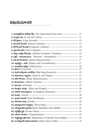#### **విషయసూచిక**

| 1. అంతర్జాతీయ తారీఖు రేఖ (The International Date line) -------------------- 11     |  |
|------------------------------------------------------------------------------------|--|
|                                                                                    |  |
|                                                                                    |  |
|                                                                                    |  |
|                                                                                    |  |
|                                                                                    |  |
| 7. బాబ్రూ, ఇస్లాం కేలెండర్లు (Hebrew & Islamic Calendars) --------------------- 15 |  |
| 8. ಒತ್ತಿದೆ - ವಾಯುಮಂದಲಂ (Pressure - Atmosphere) ---------------------------- 16     |  |
| 9. అతి వేగ కొలమానం (Speed Measurements) ---------------------------------- 17      |  |
| 10. குண்ஜ் - ல்ஜி (Radius and Circumference) ---------------------------- 17       |  |
|                                                                                    |  |
|                                                                                    |  |
|                                                                                    |  |
| 14. సమూనాలు, ఆకృతులు (Patterns and Shapes) -------------------------------- 21     |  |
|                                                                                    |  |
|                                                                                    |  |
|                                                                                    |  |
|                                                                                    |  |
| 19. சூற்கு மூல்லை (Contagious Dieseases) ---------------------------- 27           |  |
|                                                                                    |  |
|                                                                                    |  |
|                                                                                    |  |
|                                                                                    |  |
| 24. సమీకృతాహార ప్రణాకిక (Basal Metabolic Rate (BMR) --------------------- 32       |  |
|                                                                                    |  |
|                                                                                    |  |
| 27. சுஜ்லிஜைல் ல்லை (Beginning of Scientific Knowledge)--------------- 35          |  |
| 28. అంతరిక్షంలో విహరించినవారు (About Space Walk) ------------------------- 35      |  |
|                                                                                    |  |
|                                                                                    |  |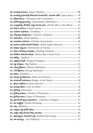| 30. అంతరిక్ష ప్రయోగాల్లో సోవియట్ యూనియన్, అమెరికా పాకిటీ (Space Race) ---- $38$                 |  |
|-------------------------------------------------------------------------------------------------|--|
|                                                                                                 |  |
| 32. ఖగోళశాస్త్ర మైలురాక్ను (Astronomical Milestones) -------------------------- 40              |  |
| 33. చంద్రగ్రహాన్ని చేరుకొని, అక్కడ సడచిన వారు (All the Men on the Moon) ----- $41$              |  |
|                                                                                                 |  |
|                                                                                                 |  |
| 36. అగ్నిపర్వత విస్మాటనాలు (Volcanic Eruptions) ------------------------------- 44              |  |
|                                                                                                 |  |
| 38. ವಾತಾವರಣ ಏಲಿಕರಾಲು (Climatic Instruments)------------------------------- 46                   |  |
| 39. భూకంప ఉనికిని కనుగొనే సాధనం (Earth Quake Detector) ------------------ 47                    |  |
| 40. అడవుల విధ్వంసం (Destruction of Forests) --------------------------------- 48                |  |
| 41. వేటకు బలౌతున్న జంతువులు (Hunting Animals)----------------------------- 48                   |  |
| 42. తేనెటీగల సామాజిక జీవితం (Honey Bee's Social Life) --------------------- 50                  |  |
|                                                                                                 |  |
|                                                                                                 |  |
|                                                                                                 |  |
|                                                                                                 |  |
|                                                                                                 |  |
|                                                                                                 |  |
| <mark>49. సముద్ర గర్జ జీవరాసులు</mark> (Deep Sea Diverse) ---------------------------------- 55 |  |
| 50. சால்லீ சல்லை (Danger in the Water) ------------------------------- 56                       |  |
|                                                                                                 |  |
|                                                                                                 |  |
|                                                                                                 |  |
|                                                                                                 |  |
|                                                                                                 |  |
| 56. හුమాదంలో వున్న జంతుజాలాలు (Animals in Danger) ----------------------- 61                    |  |
|                                                                                                 |  |
|                                                                                                 |  |
|                                                                                                 |  |
|                                                                                                 |  |
| 61. పునరావృతం చేయగలిగే చెత్త (Rubbish Recycling) --------------------------- 67                 |  |
|                                                                                                 |  |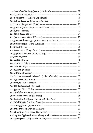| 63. మానవశరీరంలోని సూక్ష్మవ్రాణులు (Life in Man) ------------------------------- 68              |  |
|-------------------------------------------------------------------------------------------------|--|
|                                                                                                 |  |
|                                                                                                 |  |
| 66. భయాలు పలురకాలు (Common Phobias) ----------------------------------- 71                      |  |
|                                                                                                 |  |
| 68. ప్రపంచ అన్వేషకులు (Explorers and Travellers) ------------------------------ 72              |  |
|                                                                                                 |  |
|                                                                                                 |  |
|                                                                                                 |  |
| 72. ప్రపంచంలోనే ఎత్తైన వృక్షం (Tallest Tree in the World) --------------------- 76              |  |
|                                                                                                 |  |
|                                                                                                 |  |
|                                                                                                 |  |
|                                                                                                 |  |
|                                                                                                 |  |
|                                                                                                 |  |
|                                                                                                 |  |
|                                                                                                 |  |
|                                                                                                 |  |
|                                                                                                 |  |
| 83. పండుగలు తెలిపే భారతీయ కేలండర్ (Indian Calendar)------------------------ 83                  |  |
|                                                                                                 |  |
|                                                                                                 |  |
|                                                                                                 |  |
|                                                                                                 |  |
|                                                                                                 |  |
|                                                                                                 |  |
| 90. పాలపుంతలు & నక్షత్రాలు (Galaxies & Star Facts) ---------------------------- 89              |  |
|                                                                                                 |  |
|                                                                                                 |  |
|                                                                                                 |  |
|                                                                                                 |  |
| 95. అత్యంత సు <mark>బీర్ఘ హిమానీ నదులు</mark> (Longest Glaciers) --------------------------- 93 |  |
|                                                                                                 |  |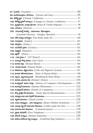| 98. మహాసముద్రాలు, సాగరాలు (Oceans and Seas) ------------------------------ $95$     |  |
|-------------------------------------------------------------------------------------|--|
|                                                                                     |  |
| 100. శీతోష్ణ స్థితిలో మార్పులు (Changes in Climatic Conditions)--------------- 97   |  |
| 101. ຜູລ໌ລູ້ວັດອັດ, ພົດຜູ້ ລູ້ວິດອັດ (Polar & Tundra Regions) ------------------ 98 |  |
|                                                                                     |  |
| $103.$ වಯನಾರ್ಡ್ಡಿ ದಾವಿದ್ದಿ - ನಮಾನಾಲು, ರೆఖಾచిత్రాలు                                  |  |
| (Lianardo Daavincy - Designs, Sketches) --------------------------- 99              |  |
| 104. శరీర నిర్మాణ పదార్థాలు (Our Body made of) ------------------------------ 100   |  |
|                                                                                     |  |
|                                                                                     |  |
|                                                                                     |  |
|                                                                                     |  |
|                                                                                     |  |
|                                                                                     |  |
|                                                                                     |  |
|                                                                                     |  |
|                                                                                     |  |
| 114. абъетею, адробно (Cells and Digestive System) ----------------- 107            |  |
| 115. మానవ శరీరావయవాలు (Parts of Human Body) ------------------------ 108            |  |
| 116. శ్వాసం, హృదయస్ఫందన (Breathing & Heart Beats) -------------------- 109          |  |
| 117. మానవ ఎముకల కథ (Human's Bones) ----------------------------------- $110$        |  |
| 118. కంప్యూటర్ వికాస చలత్ర (History of Computer's Development) ----- $110$          |  |
| 119. ఇంటర్నెట్ విజయాలు (Internet Milestones) ------------------------------ $112$   |  |
| 120. కంప్యూటర్ వివరాలు (Details of Computers) ---------------------------- 113      |  |
| 121. కొన్ని ప్రత్యేక కొలమానాలు (Some Special Measurements) -------------- $114$     |  |
|                                                                                     |  |
|                                                                                     |  |
| 124. యువ ఆవిషన్డలు - వాలి ఆవిషన్ణాలు (Brain Children Inventions) ------- $117$      |  |
| 125. సముద్ర గర్జంలో సమాచార సాధనాలు (Cables under the Sea) ------------- $118$       |  |
| 126. దూరసంచార సాధనాలు (Communications) ---------------------------- 119             |  |
|                                                                                     |  |
|                                                                                     |  |
| 129. ఊహించలేనంత పెద్ద సంఖ్యలు (Undefined Big Numbers) -------------- $121$          |  |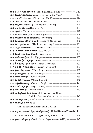| 130. అత్యంత తేలికైన మూలకాలు (The Lightest Elements) ----------- $122$                 |
|---------------------------------------------------------------------------------------|
| 131. సముద్రపు నీటిలోని మూలకాలు (Elements in Sea Water) ------------------ 123         |
| 132. భూమిలోని మూలకాలు (Elements on Earth) ------------------------------ 124          |
|                                                                                       |
| 134. ఇంద్రధనస్సు వర్ణాలు! (The Spectrum Colours!) ------------------------- 126       |
|                                                                                       |
|                                                                                       |
|                                                                                       |
| 138. ವಾಲ್ಸಿಕಾಮಿಕ ವಿಕ್ಷುತಂ (Industrial Revolution) ------------------------------- 129 |
| 139. ல்லைக் சூத்தை அல் (The Age of Colonialism) ----------------- 130                 |
|                                                                                       |
| 141. మధ్య యుగాల కాలం (The Middle Ages) ---------------------------------- 132         |
| 142. సముద్రాలు - మహాసముద్రాలు (Seas and Oceans) -------------------------- 133        |
| 143. ஜ்ல்ல லைக்கூ (World Civilizations) ------------------------------- 135           |
|                                                                                       |
|                                                                                       |
| 146. క్రీ.శ. 1789 - ఫ్రెంచ్ విప్లవం (French Revolution) ------------------------- 137 |
| 147. క్రీ.శ. 1917 రష్యన్ విప్లవం (Russian Revolution) -------------------------- 137  |
|                                                                                       |
|                                                                                       |
|                                                                                       |
|                                                                                       |
| 152. ఒట్టోమన్ సామ్రాజ్యం (Ottoman Empire) --------------------------------- 141       |
|                                                                                       |
|                                                                                       |
| 155. అంతర్జాతీయ రెడ్ క్రాస్ సంఘం (International Red Cross                             |
| And Red Crescent Movements) : --------------------- 143                               |
|                                                                                       |
| 157. ఐక్వరాజ్య సమితి బాలల నిభి                                                        |
| (United Nation's Children's Fund, UNICEF) :--------------------- 144                  |
| 158. ఐక్యరాజ్య సమితి విద్య, సైన్కు, సాంస్థృతిక సంస్థ (United Nation's Educational,    |
| Scientific and Cultural Organization, UNESCO): ----------------- 144                  |
| 159. ప్రపంచ ఆరోగ్య సంస్థ (World Health Organization - WHO) ------------ 145           |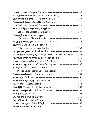| 161. 2003000000 300000 (Women in Parliament) : ---------------------- 146                |  |
|------------------------------------------------------------------------------------------|--|
| 162. మహికలకు ఓటు హక్కు (Votes for Women) : ----------------------------- 147             |  |
| 163. ఓటు హక్కును ప్రజలు పాందిన దేశాలు, సంవత్సరాలు                                        |  |
|                                                                                          |  |
| 164. అత్యంత బీర్ఘమైన, అత్యంత చిన్న సముద్రతీరాలు                                          |  |
| (Longest and Shortest Coastlines): ------------------------- 149                         |  |
| 165. సుబీర్ఘమైన ఎల్లలు, చిన్న సలిహద్దులు                                                 |  |
|                                                                                          |  |
| 166. ప్రసిద్ధ ఖగోళశాస్త్రజ్ఞులు (Famous Astronomers) : --------------------------- 152   |  |
| 167. గోళాలను చేరుకున్న కృత్రిమ లంతరిక్ష నౌకలు                                            |  |
|                                                                                          |  |
| 168. కృత్రిమ ఉపగ్రహం (Artificial Satellite): ----------------------------------- 153     |  |
| 169. చుట్టూ భూప్రాంతమున్న పెద్ద దేశాలు (Biggest Landlocked Countries) : -- 154           |  |
| 170. అత్యభిక జనాభా గల దేశాలు (Biggest Population) : ------------------------ 155         |  |
| 171. లత్యల్ప జనాభా గల దేశాలు (Smallest Population) : ------------------------ 156        |  |
| 172. దేశాల అభివృద్ధి సూచిక (Country Development) : ----------------------- 157           |  |
| 173. అధిక జనాభా గల ప్రపంచ మహానగరాలు                                                      |  |
| (World Cities with the Excessive People) : --------------------------- 159               |  |
| 174. కుక్మలున్నాయ్ జాగ్రత్త! (Beware of Dogs) : ---------------------------------- 160   |  |
|                                                                                          |  |
| 176. భారతదేశవిజ్ఞాన శాస్త్రజ్ఞులు (Indian Scientists) : ---------------------------- 161 |  |
|                                                                                          |  |
| 178. కిస్మాఫర్ కాలంబస్ (Cristopher Columbus) : ------------------------------ 163        |  |
| 179. బిలియం షేక్కిఫియర్ (William Shakespear) : ----------------------------- 163         |  |
|                                                                                          |  |
|                                                                                          |  |
|                                                                                          |  |
|                                                                                          |  |
|                                                                                          |  |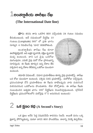| అంతర్జాతీయ తాలీఖు రేఖ

#### (The International Date line)

**భూ**మి తనను తాను ఒకసారి తిరిగి వచ్చేందుకు 24 గంటల సమయం

తీసుకుంటుంది. అదే సమయంలో దీర్ఘరేఖ  $10$ గంటలు. (Longitude)  $360^{\circ}$  లో (పతి భాగం సూర్యుని 4 నిమిషాలసేపు 'చూచి' కదిలిపోతుంది.

అంతరా్ౖతీయ తారీఖు రేఖ కూడా ఊహాత్మకమైనదే. అది ఉత్తర ధృవానికి, దక్షిణ ధృవానికి మధ్యంటుంది. దాని ఒక వైపు ఒకరోజు ముగింపునూ, ఎదుటి వైపు మరో రోజు (పారంభాన్ని సూచిస్తుంది. ఈ రేఖకు తూర్పున ఉన్న దేశాల తేది పళ్చిమాన ఉన్న దేశాల తేదీకన్నా ఒకరోజు ముందుగా കാഗാക



తమాషా ఏమిటంటే.. విమాన (పయాణీకులు తూర్పు వైపు (పయాణిస్తే.. తారీఖు ఒక రోజు ముందుగా ఉంటుంది. పశ్చిమ దిశన (పయాణిస్తే.. మరోరోజు వచ్చేస్తుంది. ప్రపంచయాత్ర చేసే ప్రయాణీకులు ఈ రేఖను దాటేటప్పుడు వారు పయనించే దిశననుసరించి ఒకరోజును పొందుతారు. లేదా కోల్పోతారు. ఈ తారీఖు రేఖకు సంబంధించిన అత్యధిక భాగం  $180^{\rm o}$  దీర్ఘరేఖను వెంబడిస్తూవుంటుంది. ((గీన్విచ్ దీర్ఘరేఖను (పపంచగోళంలోని మరోవైపు  $0^{\overline{0}}$ ని అనుసరించి ఉంటుంది)

### $2$  යජ ජූෆං ජග (A Second's Story)

ఒక క్షణం అనేది పెద్ద విషయమేమీ కాదనడం నిజమే. అయితే మనం ఒక్క క్షణాన్ని పోగొట్టుకున్నా, మరలా దానిని తిరిగి పొందలేము. కాలాన్ని వెనక్కి తిప్పలేము.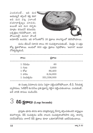ఎందుకంటే.. ఇది మన ఆయుష్మనే తగ్గించే కత్తి కదా! అది వున పట్ట ఎలాంటి దయాదాక్షిణ్యం చూపదు. అయితే అది మన కళృకు మాత్రం కనబడనే కనబడదు. ఒక్కక్షణం గడచిపోయినా.. అది పోయినట్లే! మరలా పొందే



అవకాశమే ఉండదు. ఇది రాసేంతలోపే 20 క్షణాలు కాలగర్భంలో కలిసిపోయాయి.

మనం జీవించే సరాసరి కాలం 80 సంవత్సరాలనుకుంటే.. మొత్తం 2 లక్షల కోట్ల క్షణాలౌతాయి. అందులో 800 లక్షల క్షణాలు ని(్రపోతాం. 'అలాగా!' అంటూ నోరెళ్ళబెట్టకండి.

| కాలం       | క్షణాలు     |  |
|------------|-------------|--|
| 1 నిమిషం   | 60          |  |
| $1 \,$ గంట | 3,600       |  |
| $1\,$ రోజు | 86,400      |  |
| 1 వారం     | 6,04,800    |  |
| 1 సంవత్సరం | 331,536,000 |  |

ఈ సంఖ్యా వివరాలను మనం పెద్దగా పట్టించుకోకపోయినా, టీ.వీ. సీరియళ్ళ వ్యాపారులు, సెల్ఫోన్ కంపెనీలు (పతి క్షణాన్ని గట్టిగా పట్టించుకుంటాయి. ఎందుకంటే.. అవే వారికి కాసులు పండించేవి.

# $3$  විධි ජූශාහ (Leap Seconds)

(పస్తుతం భూమి తనను తాను పరి(భమిస్తున్న వేగాన్ని తగ్గించుకుందని శాస్త్రజ్ఞులు కనుగొన్నారు. లీప్ సంవత్సరం అనేది నాలుగు సంవత్సరాలకొకసారి వచ్చి, కాలాన్ని సరిచేసుకోవడం లాగానే లీప్ క్షణాలు కూడా ఒకదానితోనొకటి జతచేసుకుంటాయి.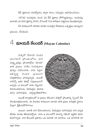లీప్ క్షణాలను కనుక్కోవడం ద్వారా కాలం సమస్యను అధిగమించగలం.

 $1972$ వ సంవత్సరం నుంచి  $22$  లీప్ క్షణాలు పోగొట్టుకున్నాం. అందువల్ల అలాంటి ఒక చివరి క్షణాన్ని 2005, డిసెంబర్ 31వ తారీఖున విజ్హానులు కలుపుకున్నారు.

దీని కారణంగానే 2006వ నూతన సంవత్సర వేదుకలను ఒక్కక్షణం ఆలస్యంగా స్థపంచం చేసుకుంది.

#### $4$  మాయన్ కేలండర్ (Mayan Calendar)

మెక్సికో దేశానికి చెందిన యుుగటాన్ (పాంతంలోను, దాని చుట్ట్టుర్రుల ప్రాంతాల్లోను 'మాయా' జాతి (పజలు 10వేల సంవత్సరాల పూర్వం నివసించారు. వారు పెద్దగా అభివృద్ధి చెందని (వజలుగా చరిత్రకారులు భావిస్తున్నారు. అయితే వారెన్నో ఇతర కళల్లో నిపుణులుగానే ఉన్నారు. ఆ కాలంలో వారు నిర్మించిన శిలామందిరాలను, పిరమిడ్లను ఈనాడు మనం చూసినపుడు.. ఆశ్చర్యచకితులౌతాం.



అయితే కాల(కమంలో ఆ (పజలు జీవించిన మెక్సికో (పాంతాన్ని స్పెయిన్ దేశ పాలకులా(కమించారు. ఈ పాలకుల కారణంగా మాయా జాతి (పజల చారి(తక స్థలాలు మెల్లగా క్షీణించిపోసాగాయి.

అయినా, ఆనాటి వారి దేవాలయాలను, పిరమిద్లను చూసినపుడు వారి ఉన్నత జీవితం మనకు తెలియవస్తోంది. వారు ఆ కాలంలోనే కాలాన్ని గణించే పద్ధతిని కూడా కనుగొన్నారు. వారి కేలండర్ (పకారం ఒక ఏదాదికి 18 మాసాలు. ఒక మాసానికి 20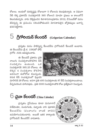రోజులు. అందులో దురదృష్టపు రోజులుగా 5 రోజులను కలుపుకున్నారు. ఆ విధంగా నేటి లెక్క (పకారమే సంవత్సరానికి 365 రోజులని మాయా (పజలు ఆ కాలంలోనే తెలుసుకున్నారు. వారు చెక్కివుంచిన శిలాశాసనాల(పకారం 2012, డిసెంబర్తో మనం జీవిస్తున్న ఈ (ప్రపంచం నశించిపోతుందని మోసకారులైన జ్యోతిష్ములు జనాన్ని భయపెట్టేశారు.

#### $5$  ෆීුලිවරෝබි ප්පරයිරි (Grigorian Calendar)

స్రుస్తుతం మనం పాటిస్తున్న కేలండర్ను గ్రిగోరియన్ కేలండర్ అంటారు. ఈ కేలండర్ను క్రీ.శ. 1582లో పోప్

(గిగోరి (XIII) అవిషురించారు.

ఈ కేలండర్ (పకారం (పతి నాలుగు సంవత్సరాలకొకసారి లీప్ నంవత్సరం ఉంటుంది. ఒక సంవత్సరానికి 365.25 రోజులు. ఈ లెక్కన 4 సంవత్సరాల కొకసారి అదనంగా మరోరోజు కలుసుంది. కనుక లీప్ సంవత్సరంలో ఫి(బవరి



మాసానికి 29 రోజులు. అనగా ప్రతి 400 సంవత్సరాలకు 97 లీప్ సంవత్సరాలుంటాయి. దీన్ననుసరించి చూసినపుడు.. [పతి 3300 సంవత్సరాలకొక రోజు [పత్యేకంగా నిలుస్తుంది.

# $6$  බැබ ප්වරයිරි (China Calendar)

(పసుతం చైనీయులు కూడా మనలాగానే విశేషాలకూ, పండుగలకు, పబ్బాలకు వారి పురాతన కేలండర్ను (వంచాంగం లాంటి దానిని) ఉపయోగించుకుంటారు. అయితే ఇతర కార్యాలకు గ్రగోరియన్ కేలండర్నే వాడుతారు.